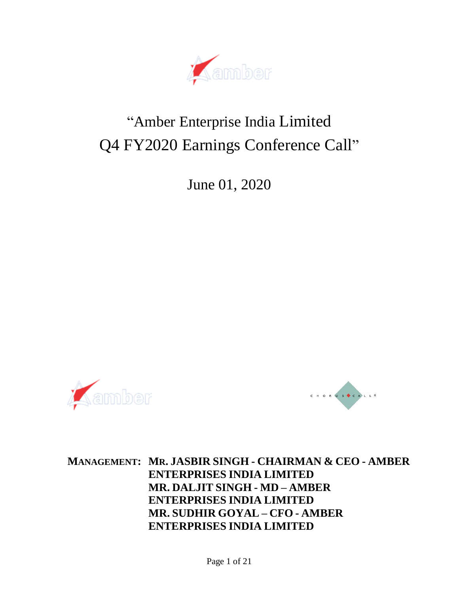

# "Amber Enterprise India Limited Q4 FY2020 Earnings Conference Call"

June 01, 2020





**MANAGEMENT: MR. JASBIR SINGH - CHAIRMAN & CEO - AMBER ENTERPRISES INDIA LIMITED MR. DALJIT SINGH - MD – AMBER ENTERPRISES INDIA LIMITED MR. SUDHIR GOYAL – CFO - AMBER ENTERPRISES INDIA LIMITED**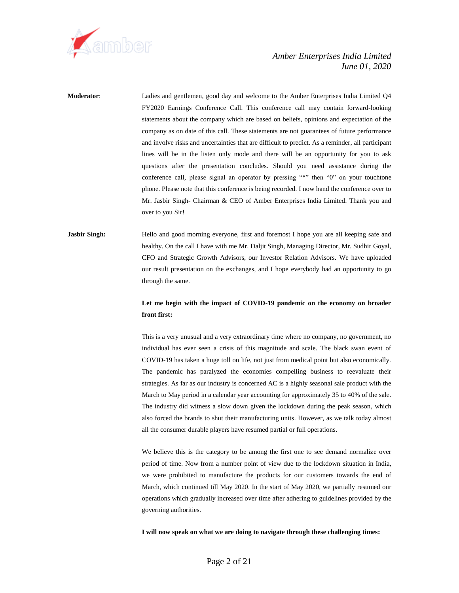

**Moderator**: Ladies and gentlemen, good day and welcome to the Amber Enterprises India Limited Q4 FY2020 Earnings Conference Call. This conference call may contain forward-looking statements about the company which are based on beliefs, opinions and expectation of the company as on date of this call. These statements are not guarantees of future performance and involve risks and uncertainties that are difficult to predict. As a reminder, all participant lines will be in the listen only mode and there will be an opportunity for you to ask questions after the presentation concludes. Should you need assistance during the conference call, please signal an operator by pressing "\*" then "0" on your touchtone phone. Please note that this conference is being recorded. I now hand the conference over to Mr. Jasbir Singh- Chairman & CEO of Amber Enterprises India Limited. Thank you and over to you Sir!

## **Jasbir Singh:** Hello and good morning everyone, first and foremost I hope you are all keeping safe and healthy. On the call I have with me Mr. Daljit Singh, Managing Director, Mr. Sudhir Goyal, CFO and Strategic Growth Advisors, our Investor Relation Advisors. We have uploaded our result presentation on the exchanges, and I hope everybody had an opportunity to go through the same.

#### **Let me begin with the impact of COVID-19 pandemic on the economy on broader front first:**

This is a very unusual and a very extraordinary time where no company, no government, no individual has ever seen a crisis of this magnitude and scale. The black swan event of COVID-19 has taken a huge toll on life, not just from medical point but also economically. The pandemic has paralyzed the economies compelling business to reevaluate their strategies. As far as our industry is concerned AC is a highly seasonal sale product with the March to May period in a calendar year accounting for approximately 35 to 40% of the sale. The industry did witness a slow down given the lockdown during the peak season, which also forced the brands to shut their manufacturing units. However, as we talk today almost all the consumer durable players have resumed partial or full operations.

We believe this is the category to be among the first one to see demand normalize over period of time. Now from a number point of view due to the lockdown situation in India, we were prohibited to manufacture the products for our customers towards the end of March, which continued till May 2020. In the start of May 2020, we partially resumed our operations which gradually increased over time after adhering to guidelines provided by the governing authorities.

**I will now speak on what we are doing to navigate through these challenging times:**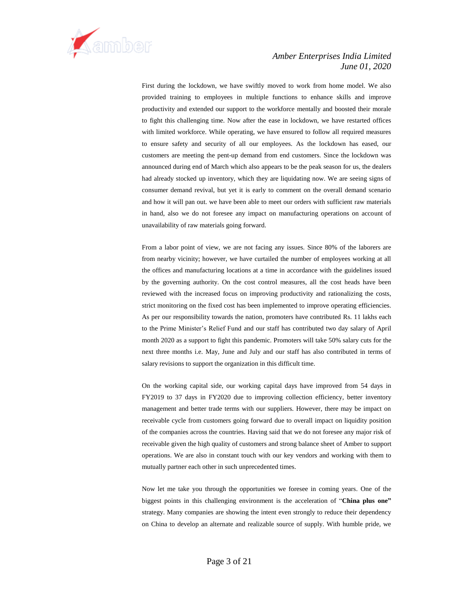

First during the lockdown, we have swiftly moved to work from home model. We also provided training to employees in multiple functions to enhance skills and improve productivity and extended our support to the workforce mentally and boosted their morale to fight this challenging time. Now after the ease in lockdown, we have restarted offices with limited workforce. While operating, we have ensured to follow all required measures to ensure safety and security of all our employees. As the lockdown has eased, our customers are meeting the pent-up demand from end customers. Since the lockdown was announced during end of March which also appears to be the peak season for us, the dealers had already stocked up inventory, which they are liquidating now. We are seeing signs of consumer demand revival, but yet it is early to comment on the overall demand scenario and how it will pan out. we have been able to meet our orders with sufficient raw materials in hand, also we do not foresee any impact on manufacturing operations on account of unavailability of raw materials going forward.

From a labor point of view, we are not facing any issues. Since 80% of the laborers are from nearby vicinity; however, we have curtailed the number of employees working at all the offices and manufacturing locations at a time in accordance with the guidelines issued by the governing authority. On the cost control measures, all the cost heads have been reviewed with the increased focus on improving productivity and rationalizing the costs, strict monitoring on the fixed cost has been implemented to improve operating efficiencies. As per our responsibility towards the nation, promoters have contributed Rs. 11 lakhs each to the Prime Minister's Relief Fund and our staff has contributed two day salary of April month 2020 as a support to fight this pandemic. Promoters will take 50% salary cuts for the next three months i.e. May, June and July and our staff has also contributed in terms of salary revisions to support the organization in this difficult time.

On the working capital side, our working capital days have improved from 54 days in FY2019 to 37 days in FY2020 due to improving collection efficiency, better inventory management and better trade terms with our suppliers. However, there may be impact on receivable cycle from customers going forward due to overall impact on liquidity position of the companies across the countries. Having said that we do not foresee any major risk of receivable given the high quality of customers and strong balance sheet of Amber to support operations. We are also in constant touch with our key vendors and working with them to mutually partner each other in such unprecedented times.

Now let me take you through the opportunities we foresee in coming years. One of the biggest points in this challenging environment is the acceleration of "**China plus one"** strategy. Many companies are showing the intent even strongly to reduce their dependency on China to develop an alternate and realizable source of supply. With humble pride, we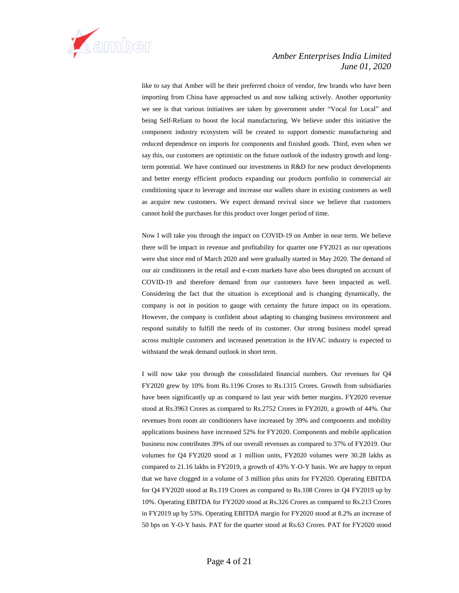

like to say that Amber will be their preferred choice of vendor, few brands who have been importing from China have approached us and now talking actively. Another opportunity we see is that various initiatives are taken by government under "Vocal for Local" and being Self-Reliant to boost the local manufacturing. We believe under this initiative the component industry ecosystem will be created to support domestic manufacturing and reduced dependence on imports for components and finished goods. Third, even when we say this, our customers are optimistic on the future outlook of the industry growth and longterm potential. We have continued our investments in R&D for new product developments and better energy efficient products expanding our products portfolio in commercial air conditioning space to leverage and increase our wallets share in existing customers as well as acquire new customers. We expect demand revival since we believe that customers cannot hold the purchases for this product over longer period of time.

Now I will take you through the impact on COVID-19 on Amber in near term. We believe there will be impact in revenue and profitability for quarter one FY2021 as our operations were shut since end of March 2020 and were gradually started in May 2020. The demand of our air conditioners in the retail and e-com markets have also been disrupted on account of COVID-19 and therefore demand from our customers have been impacted as well. Considering the fact that the situation is exceptional and is changing dynamically, the company is not in position to gauge with certainty the future impact on its operations. However, the company is confident about adapting to changing business environment and respond suitably to fulfill the needs of its customer. Our strong business model spread across multiple customers and increased penetration in the HVAC industry is expected to withstand the weak demand outlook in short term.

I will now take you through the consolidated financial numbers. Our revenues for Q4 FY2020 grew by 10% from Rs.1196 Crores to Rs.1315 Crores. Growth from subsidiaries have been significantly up as compared to last year with better margins. FY2020 revenue stood at Rs.3963 Crores as compared to Rs.2752 Crores in FY2020, a growth of 44%. Our revenues from room air conditioners have increased by 39% and components and mobility applications business have increased 52% for FY2020. Components and mobile application business now contributes 39% of our overall revenues as compared to 37% of FY2019. Our volumes for Q4 FY2020 stood at 1 million units, FY2020 volumes were 30.28 lakhs as compared to 21.16 lakhs in FY2019, a growth of 43% Y-O-Y basis. We are happy to report that we have clogged in a volume of 3 million plus units for FY2020. Operating EBITDA for Q4 FY2020 stood at Rs.119 Crores as compared to Rs.108 Crores in Q4 FY2019 up by 10%. Operating EBITDA for FY2020 stood at Rs.326 Crores as compared to Rs.213 Crores in FY2019 up by 53%. Operating EBITDA margin for FY2020 stood at 8.2% an increase of 50 bps on Y-O-Y basis. PAT for the quarter stood at Rs.63 Crores. PAT for FY2020 stood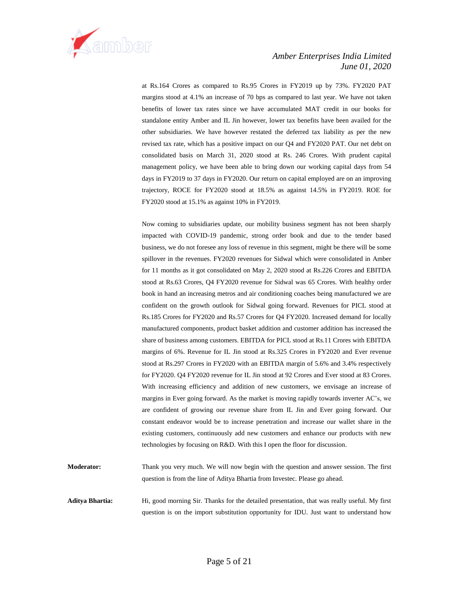

at Rs.164 Crores as compared to Rs.95 Crores in FY2019 up by 73%. FY2020 PAT margins stood at 4.1% an increase of 70 bps as compared to last year. We have not taken benefits of lower tax rates since we have accumulated MAT credit in our books for standalone entity Amber and IL Jin however, lower tax benefits have been availed for the other subsidiaries. We have however restated the deferred tax liability as per the new revised tax rate, which has a positive impact on our Q4 and FY2020 PAT. Our net debt on consolidated basis on March 31, 2020 stood at Rs. 246 Crores. With prudent capital management policy, we have been able to bring down our working capital days from 54 days in FY2019 to 37 days in FY2020. Our return on capital employed are on an improving trajectory, ROCE for FY2020 stood at 18.5% as against 14.5% in FY2019. ROE for FY2020 stood at 15.1% as against 10% in FY2019.

Now coming to subsidiaries update, our mobility business segment has not been sharply impacted with COVID-19 pandemic, strong order book and due to the tender based business, we do not foresee any loss of revenue in this segment, might be there will be some spillover in the revenues. FY2020 revenues for Sidwal which were consolidated in Amber for 11 months as it got consolidated on May 2, 2020 stood at Rs.226 Crores and EBITDA stood at Rs.63 Crores, Q4 FY2020 revenue for Sidwal was 65 Crores. With healthy order book in hand an increasing metros and air conditioning coaches being manufactured we are confident on the growth outlook for Sidwal going forward. Revenues for PICL stood at Rs.185 Crores for FY2020 and Rs.57 Crores for Q4 FY2020. Increased demand for locally manufactured components, product basket addition and customer addition has increased the share of business among customers. EBITDA for PICL stood at Rs.11 Crores with EBITDA margins of 6%. Revenue for IL Jin stood at Rs.325 Crores in FY2020 and Ever revenue stood at Rs.297 Crores in FY2020 with an EBITDA margin of 5.6% and 3.4% respectively for FY2020. Q4 FY2020 revenue for IL Jin stood at 92 Crores and Ever stood at 83 Crores. With increasing efficiency and addition of new customers, we envisage an increase of margins in Ever going forward. As the market is moving rapidly towards inverter AC's, we are confident of growing our revenue share from IL Jin and Ever going forward. Our constant endeavor would be to increase penetration and increase our wallet share in the existing customers, continuously add new customers and enhance our products with new technologies by focusing on R&D. With this I open the floor for discussion.

**Moderator:** Thank you very much. We will now begin with the question and answer session. The first question is from the line of Aditya Bhartia from Investec. Please go ahead.

**Aditya Bhartia:** Hi, good morning Sir. Thanks for the detailed presentation, that was really useful. My first question is on the import substitution opportunity for IDU. Just want to understand how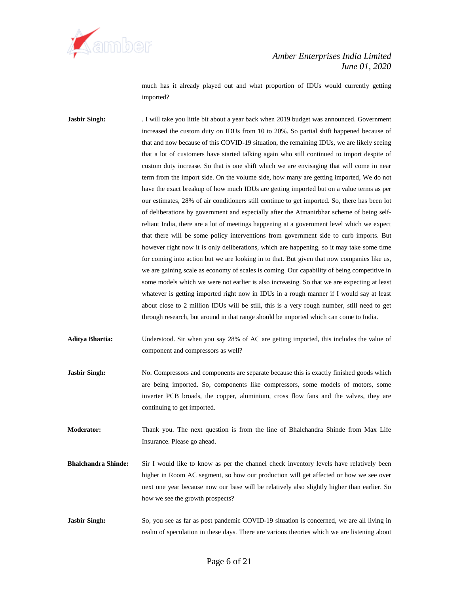

much has it already played out and what proportion of IDUs would currently getting imported?

Jasbir Singh: . I will take you little bit about a year back when 2019 budget was announced. Government increased the custom duty on IDUs from 10 to 20%. So partial shift happened because of that and now because of this COVID-19 situation, the remaining IDUs, we are likely seeing that a lot of customers have started talking again who still continued to import despite of custom duty increase. So that is one shift which we are envisaging that will come in near term from the import side. On the volume side, how many are getting imported, We do not have the exact breakup of how much IDUs are getting imported but on a value terms as per our estimates, 28% of air conditioners still continue to get imported. So, there has been lot of deliberations by government and especially after the Atmanirbhar scheme of being selfreliant India, there are a lot of meetings happening at a government level which we expect that there will be some policy interventions from government side to curb imports. But however right now it is only deliberations, which are happening, so it may take some time for coming into action but we are looking in to that. But given that now companies like us, we are gaining scale as economy of scales is coming. Our capability of being competitive in some models which we were not earlier is also increasing. So that we are expecting at least whatever is getting imported right now in IDUs in a rough manner if I would say at least about close to 2 million IDUs will be still, this is a very rough number, still need to get through research, but around in that range should be imported which can come to India.

- **Aditya Bhartia:** Understood. Sir when you say 28% of AC are getting imported, this includes the value of component and compressors as well?
- **Jasbir Singh:** No. Compressors and components are separate because this is exactly finished goods which are being imported. So, components like compressors, some models of motors, some inverter PCB broads, the copper, aluminium, cross flow fans and the valves, they are continuing to get imported.

**Moderator:** Thank you. The next question is from the line of Bhalchandra Shinde from Max Life Insurance. Please go ahead.

- **Bhalchandra Shinde:** Sir I would like to know as per the channel check inventory levels have relatively been higher in Room AC segment, so how our production will get affected or how we see over next one year because now our base will be relatively also slightly higher than earlier. So how we see the growth prospects?
- **Jasbir Singh:** So, you see as far as post pandemic COVID-19 situation is concerned, we are all living in realm of speculation in these days. There are various theories which we are listening about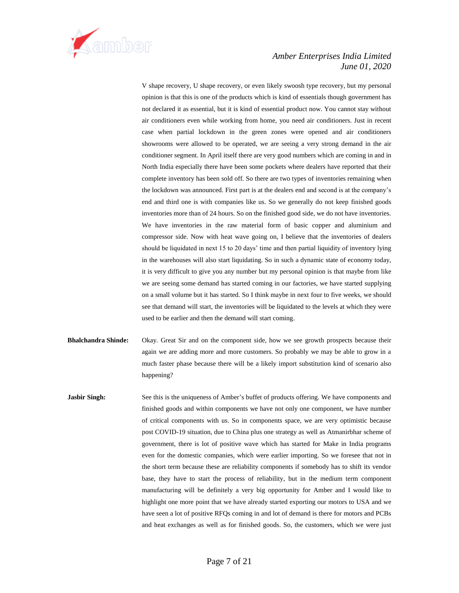

V shape recovery, U shape recovery, or even likely swoosh type recovery, but my personal opinion is that this is one of the products which is kind of essentials though government has not declared it as essential, but it is kind of essential product now. You cannot stay without air conditioners even while working from home, you need air conditioners. Just in recent case when partial lockdown in the green zones were opened and air conditioners showrooms were allowed to be operated, we are seeing a very strong demand in the air conditioner segment. In April itself there are very good numbers which are coming in and in North India especially there have been some pockets where dealers have reported that their complete inventory has been sold off. So there are two types of inventories remaining when the lockdown was announced. First part is at the dealers end and second is at the company's end and third one is with companies like us. So we generally do not keep finished goods inventories more than of 24 hours. So on the finished good side, we do not have inventories. We have inventories in the raw material form of basic copper and aluminium and compressor side. Now with heat wave going on, I believe that the inventories of dealers should be liquidated in next 15 to 20 days' time and then partial liquidity of inventory lying in the warehouses will also start liquidating. So in such a dynamic state of economy today, it is very difficult to give you any number but my personal opinion is that maybe from like we are seeing some demand has started coming in our factories, we have started supplying on a small volume but it has started. So I think maybe in next four to five weeks, we should see that demand will start, the inventories will be liquidated to the levels at which they were used to be earlier and then the demand will start coming.

- **Bhalchandra Shinde:** Okay. Great Sir and on the component side, how we see growth prospects because their again we are adding more and more customers. So probably we may be able to grow in a much faster phase because there will be a likely import substitution kind of scenario also happening?
- **Jasbir Singh:** See this is the uniqueness of Amber's buffet of products offering. We have components and finished goods and within components we have not only one component, we have number of critical components with us. So in components space, we are very optimistic because post COVID-19 situation, due to China plus one strategy as well as Atmanirbhar scheme of government, there is lot of positive wave which has started for Make in India programs even for the domestic companies, which were earlier importing. So we foresee that not in the short term because these are reliability components if somebody has to shift its vendor base, they have to start the process of reliability, but in the medium term component manufacturing will be definitely a very big opportunity for Amber and I would like to highlight one more point that we have already started exporting our motors to USA and we have seen a lot of positive RFQs coming in and lot of demand is there for motors and PCBs and heat exchanges as well as for finished goods. So, the customers, which we were just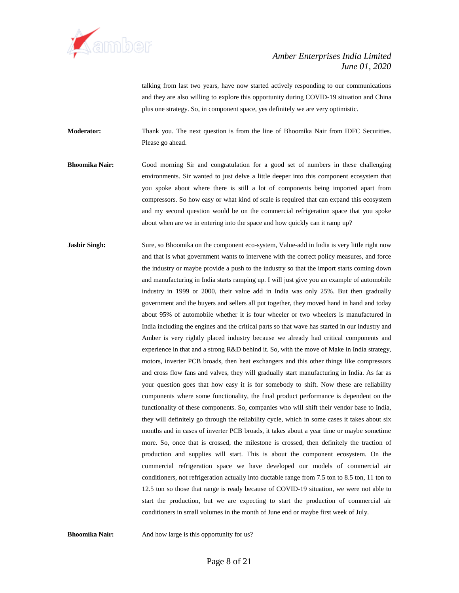

talking from last two years, have now started actively responding to our communications and they are also willing to explore this opportunity during COVID-19 situation and China plus one strategy. So, in component space, yes definitely we are very optimistic.

**Moderator:** Thank you. The next question is from the line of Bhoomika Nair from IDFC Securities. Please go ahead.

- **Bhoomika Nair:** Good morning Sir and congratulation for a good set of numbers in these challenging environments. Sir wanted to just delve a little deeper into this component ecosystem that you spoke about where there is still a lot of components being imported apart from compressors. So how easy or what kind of scale is required that can expand this ecosystem and my second question would be on the commercial refrigeration space that you spoke about when are we in entering into the space and how quickly can it ramp up?
- **Jasbir Singh:** Sure, so Bhoomika on the component eco-system, Value-add in India is very little right now and that is what government wants to intervene with the correct policy measures, and force the industry or maybe provide a push to the industry so that the import starts coming down and manufacturing in India starts ramping up. I will just give you an example of automobile industry in 1999 or 2000, their value add in India was only 25%. But then gradually government and the buyers and sellers all put together, they moved hand in hand and today about 95% of automobile whether it is four wheeler or two wheelers is manufactured in India including the engines and the critical parts so that wave has started in our industry and Amber is very rightly placed industry because we already had critical components and experience in that and a strong R&D behind it. So, with the move of Make in India strategy, motors, inverter PCB broads, then heat exchangers and this other things like compressors and cross flow fans and valves, they will gradually start manufacturing in India. As far as your question goes that how easy it is for somebody to shift. Now these are reliability components where some functionality, the final product performance is dependent on the functionality of these components. So, companies who will shift their vendor base to India, they will definitely go through the reliability cycle, which in some cases it takes about six months and in cases of inverter PCB broads, it takes about a year time or maybe sometime more. So, once that is crossed, the milestone is crossed, then definitely the traction of production and supplies will start. This is about the component ecosystem. On the commercial refrigeration space we have developed our models of commercial air conditioners, not refrigeration actually into ductable range from 7.5 ton to 8.5 ton, 11 ton to 12.5 ton so those that range is ready because of COVID-19 situation, we were not able to start the production, but we are expecting to start the production of commercial air conditioners in small volumes in the month of June end or maybe first week of July.

**Bhoomika Nair:** And how large is this opportunity for us?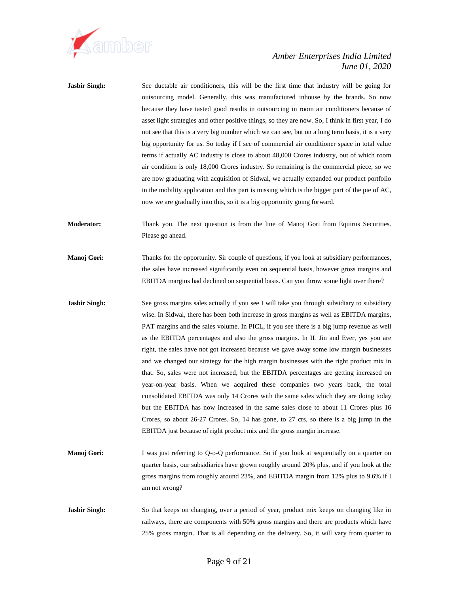

| <b>Jasbir Singh:</b> | See ductable air conditioners, this will be the first time that industry will be going for<br>outsourcing model. Generally, this was manufactured inhouse by the brands. So now<br>because they have tasted good results in outsourcing in room air conditioners because of<br>asset light strategies and other positive things, so they are now. So, I think in first year, I do<br>not see that this is a very big number which we can see, but on a long term basis, it is a very<br>big opportunity for us. So today if I see of commercial air conditioner space in total value<br>terms if actually AC industry is close to about 48,000 Crores industry, out of which room<br>air condition is only 18,000 Crores industry. So remaining is the commercial piece, so we<br>are now graduating with acquisition of Sidwal, we actually expanded our product portfolio<br>in the mobility application and this part is missing which is the bigger part of the pie of AC,<br>now we are gradually into this, so it is a big opportunity going forward.                                                |
|----------------------|------------------------------------------------------------------------------------------------------------------------------------------------------------------------------------------------------------------------------------------------------------------------------------------------------------------------------------------------------------------------------------------------------------------------------------------------------------------------------------------------------------------------------------------------------------------------------------------------------------------------------------------------------------------------------------------------------------------------------------------------------------------------------------------------------------------------------------------------------------------------------------------------------------------------------------------------------------------------------------------------------------------------------------------------------------------------------------------------------------|
| <b>Moderator:</b>    | Thank you. The next question is from the line of Manoj Gori from Equirus Securities.<br>Please go ahead.                                                                                                                                                                                                                                                                                                                                                                                                                                                                                                                                                                                                                                                                                                                                                                                                                                                                                                                                                                                                   |
| Manoj Gori:          | Thanks for the opportunity. Sir couple of questions, if you look at subsidiary performances,<br>the sales have increased significantly even on sequential basis, however gross margins and<br>EBITDA margins had declined on sequential basis. Can you throw some light over there?                                                                                                                                                                                                                                                                                                                                                                                                                                                                                                                                                                                                                                                                                                                                                                                                                        |
| <b>Jasbir Singh:</b> | See gross margins sales actually if you see I will take you through subsidiary to subsidiary<br>wise. In Sidwal, there has been both increase in gross margins as well as EBITDA margins,<br>PAT margins and the sales volume. In PICL, if you see there is a big jump revenue as well<br>as the EBITDA percentages and also the gross margins. In IL Jin and Ever, yes you are<br>right, the sales have not got increased because we gave away some low margin businesses<br>and we changed our strategy for the high margin businesses with the right product mix in<br>that. So, sales were not increased, but the EBITDA percentages are getting increased on<br>year-on-year basis. When we acquired these companies two years back, the total<br>consolidated EBITDA was only 14 Crores with the same sales which they are doing today<br>but the EBITDA has now increased in the same sales close to about 11 Crores plus 16<br>Crores, so about 26-27 Crores. So, 14 has gone, to 27 crs, so there is a big jump in the<br>EBITDA just because of right product mix and the gross margin increase. |
| Manoj Gori:          | I was just referring to Q-o-Q performance. So if you look at sequentially on a quarter on<br>quarter basis, our subsidiaries have grown roughly around 20% plus, and if you look at the<br>gross margins from roughly around 23%, and EBITDA margin from 12% plus to 9.6% if I<br>am not wrong?                                                                                                                                                                                                                                                                                                                                                                                                                                                                                                                                                                                                                                                                                                                                                                                                            |
| <b>Jasbir Singh:</b> | So that keeps on changing, over a period of year, product mix keeps on changing like in<br>railways, there are components with 50% gross margins and there are products which have<br>25% gross margin. That is all depending on the delivery. So, it will vary from quarter to                                                                                                                                                                                                                                                                                                                                                                                                                                                                                                                                                                                                                                                                                                                                                                                                                            |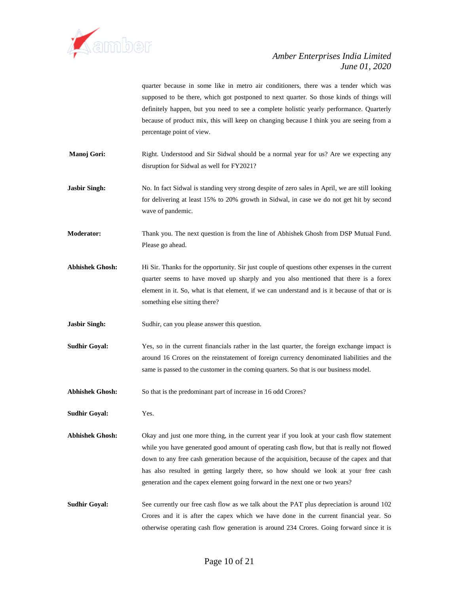

quarter because in some like in metro air conditioners, there was a tender which was supposed to be there, which got postponed to next quarter. So those kinds of things will definitely happen, but you need to see a complete holistic yearly performance. Quarterly because of product mix, this will keep on changing because I think you are seeing from a percentage point of view.

**Manoj Gori:** Right. Understood and Sir Sidwal should be a normal year for us? Are we expecting any disruption for Sidwal as well for FY2021?

**Jasbir Singh:** No. In fact Sidwal is standing very strong despite of zero sales in April, we are still looking for delivering at least 15% to 20% growth in Sidwal, in case we do not get hit by second wave of pandemic.

**Moderator:** Thank you. The next question is from the line of Abhishek Ghosh from DSP Mutual Fund. Please go ahead.

**Abhishek Ghosh:** Hi Sir. Thanks for the opportunity. Sir just couple of questions other expenses in the current quarter seems to have moved up sharply and you also mentioned that there is a forex element in it. So, what is that element, if we can understand and is it because of that or is something else sitting there?

**Jasbir Singh:** Sudhir, can you please answer this question.

**Sudhir Goyal:** Yes, so in the current financials rather in the last quarter, the foreign exchange impact is around 16 Crores on the reinstatement of foreign currency denominated liabilities and the same is passed to the customer in the coming quarters. So that is our business model.

Abhishek Ghosh: So that is the predominant part of increase in 16 odd Crores?

**Sudhir Goyal:** Yes.

**Abhishek Ghosh:** Okay and just one more thing, in the current year if you look at your cash flow statement while you have generated good amount of operating cash flow, but that is really not flowed down to any free cash generation because of the acquisition, because of the capex and that has also resulted in getting largely there, so how should we look at your free cash generation and the capex element going forward in the next one or two years?

**Sudhir Goyal:** See currently our free cash flow as we talk about the PAT plus depreciation is around 102 Crores and it is after the capex which we have done in the current financial year. So otherwise operating cash flow generation is around 234 Crores. Going forward since it is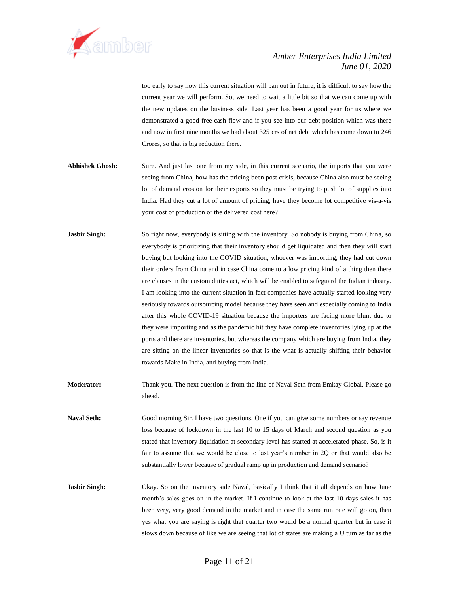

too early to say how this current situation will pan out in future, it is difficult to say how the current year we will perform. So, we need to wait a little bit so that we can come up with the new updates on the business side. Last year has been a good year for us where we demonstrated a good free cash flow and if you see into our debt position which was there and now in first nine months we had about 325 crs of net debt which has come down to 246 Crores, so that is big reduction there.

- **Abhishek Ghosh:** Sure. And just last one from my side, in this current scenario, the imports that you were seeing from China, how has the pricing been post crisis, because China also must be seeing lot of demand erosion for their exports so they must be trying to push lot of supplies into India. Had they cut a lot of amount of pricing, have they become lot competitive vis-a-vis your cost of production or the delivered cost here?
- **Jasbir Singh:** So right now, everybody is sitting with the inventory. So nobody is buying from China, so everybody is prioritizing that their inventory should get liquidated and then they will start buying but looking into the COVID situation, whoever was importing, they had cut down their orders from China and in case China come to a low pricing kind of a thing then there are clauses in the custom duties act, which will be enabled to safeguard the Indian industry. I am looking into the current situation in fact companies have actually started looking very seriously towards outsourcing model because they have seen and especially coming to India after this whole COVID-19 situation because the importers are facing more blunt due to they were importing and as the pandemic hit they have complete inventories lying up at the ports and there are inventories, but whereas the company which are buying from India, they are sitting on the linear inventories so that is the what is actually shifting their behavior towards Make in India, and buying from India.
- **Moderator:** Thank you. The next question is from the line of Naval Seth from Emkay Global. Please go ahead.
- **Naval Seth:** Good morning Sir. I have two questions. One if you can give some numbers or say revenue loss because of lockdown in the last 10 to 15 days of March and second question as you stated that inventory liquidation at secondary level has started at accelerated phase. So, is it fair to assume that we would be close to last year's number in 2Q or that would also be substantially lower because of gradual ramp up in production and demand scenario?
- **Jasbir Singh:** Okay, So on the inventory side Naval, basically I think that it all depends on how June month's sales goes on in the market. If I continue to look at the last 10 days sales it has been very, very good demand in the market and in case the same run rate will go on, then yes what you are saying is right that quarter two would be a normal quarter but in case it slows down because of like we are seeing that lot of states are making a U turn as far as the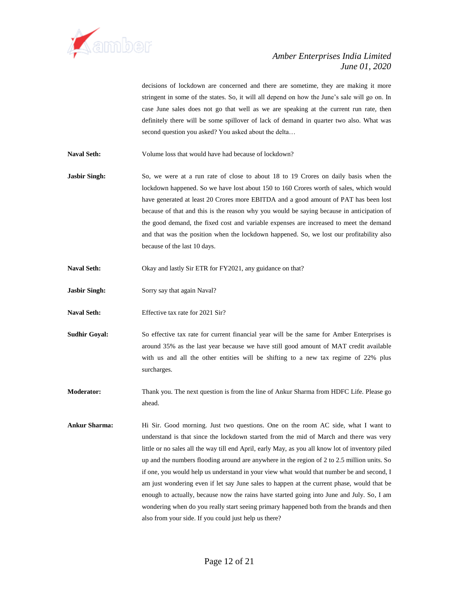

decisions of lockdown are concerned and there are sometime, they are making it more stringent in some of the states. So, it will all depend on how the June's sale will go on. In case June sales does not go that well as we are speaking at the current run rate, then definitely there will be some spillover of lack of demand in quarter two also. What was second question you asked? You asked about the delta…

**Naval Seth:** Volume loss that would have had because of lockdown?

- **Jasbir Singh:** So, we were at a run rate of close to about 18 to 19 Crores on daily basis when the lockdown happened. So we have lost about 150 to 160 Crores worth of sales, which would have generated at least 20 Crores more EBITDA and a good amount of PAT has been lost because of that and this is the reason why you would be saying because in anticipation of the good demand, the fixed cost and variable expenses are increased to meet the demand and that was the position when the lockdown happened. So, we lost our profitability also because of the last 10 days.
- Naval Seth: Okay and lastly Sir ETR for FY2021, any guidance on that?
- **Jasbir Singh:** Sorry say that again Naval?
- **Naval Seth:** Effective tax rate for 2021 Sir?
- **Sudhir Goyal:** So effective tax rate for current financial year will be the same for Amber Enterprises is around 35% as the last year because we have still good amount of MAT credit available with us and all the other entities will be shifting to a new tax regime of 22% plus surcharges.
- **Moderator:** Thank you. The next question is from the line of Ankur Sharma from HDFC Life. Please go ahead.
- **Ankur Sharma:** Hi Sir. Good morning. Just two questions. One on the room AC side, what I want to understand is that since the lockdown started from the mid of March and there was very little or no sales all the way till end April, early May, as you all know lot of inventory piled up and the numbers flooding around are anywhere in the region of 2 to 2.5 million units. So if one, you would help us understand in your view what would that number be and second, I am just wondering even if let say June sales to happen at the current phase, would that be enough to actually, because now the rains have started going into June and July. So, I am wondering when do you really start seeing primary happened both from the brands and then also from your side. If you could just help us there?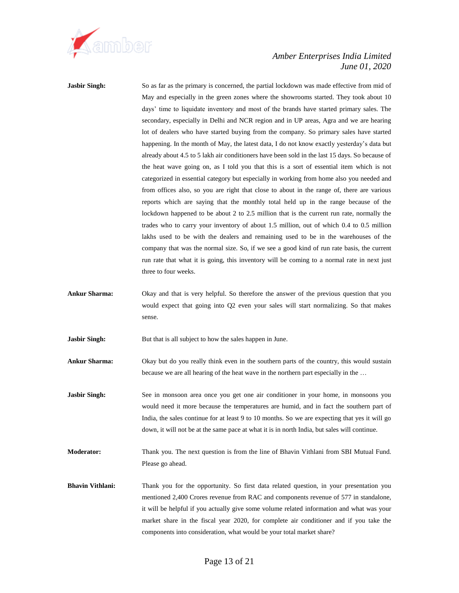

**Jasbir Singh:** So as far as the primary is concerned, the partial lockdown was made effective from mid of May and especially in the green zones where the showrooms started. They took about 10 days' time to liquidate inventory and most of the brands have started primary sales. The secondary, especially in Delhi and NCR region and in UP areas, Agra and we are hearing lot of dealers who have started buying from the company. So primary sales have started happening. In the month of May, the latest data, I do not know exactly yesterday's data but already about 4.5 to 5 lakh air conditioners have been sold in the last 15 days. So because of the heat wave going on, as I told you that this is a sort of essential item which is not categorized in essential category but especially in working from home also you needed and from offices also, so you are right that close to about in the range of, there are various reports which are saying that the monthly total held up in the range because of the lockdown happened to be about 2 to 2.5 million that is the current run rate, normally the trades who to carry your inventory of about 1.5 million, out of which 0.4 to 0.5 million lakhs used to be with the dealers and remaining used to be in the warehouses of the company that was the normal size. So, if we see a good kind of run rate basis, the current run rate that what it is going, this inventory will be coming to a normal rate in next just three to four weeks.

**Ankur Sharma:** Okay and that is very helpful. So therefore the answer of the previous question that you would expect that going into Q2 even your sales will start normalizing. So that makes sense.

**Jasbir Singh:** But that is all subject to how the sales happen in June.

**Ankur Sharma:** Okay but do you really think even in the southern parts of the country, this would sustain because we are all hearing of the heat wave in the northern part especially in the …

**Jasbir Singh:** See in monsoon area once you get one air conditioner in your home, in monsoons you would need it more because the temperatures are humid, and in fact the southern part of India, the sales continue for at least 9 to 10 months. So we are expecting that yes it will go down, it will not be at the same pace at what it is in north India, but sales will continue.

**Moderator:** Thank you. The next question is from the line of Bhavin Vithlani from SBI Mutual Fund. Please go ahead.

**Bhavin Vithlani:** Thank you for the opportunity. So first data related question, in your presentation you mentioned 2,400 Crores revenue from RAC and components revenue of 577 in standalone, it will be helpful if you actually give some volume related information and what was your market share in the fiscal year 2020, for complete air conditioner and if you take the components into consideration, what would be your total market share?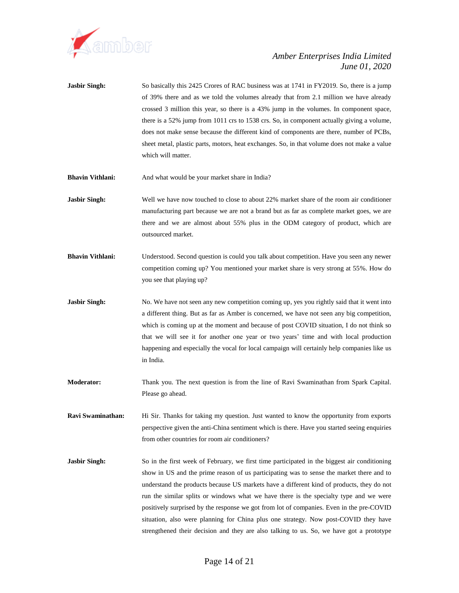

- **Jasbir Singh:** So basically this 2425 Crores of RAC business was at 1741 in FY2019. So, there is a jump of 39% there and as we told the volumes already that from 2.1 million we have already crossed 3 million this year, so there is a 43% jump in the volumes. In component space, there is a 52% jump from 1011 crs to 1538 crs. So, in component actually giving a volume, does not make sense because the different kind of components are there, number of PCBs, sheet metal, plastic parts, motors, heat exchanges. So, in that volume does not make a value which will matter.
- **Bhavin Vithlani:** And what would be your market share in India?
- **Jasbir Singh:** Well we have now touched to close to about 22% market share of the room air conditioner manufacturing part because we are not a brand but as far as complete market goes, we are there and we are almost about 55% plus in the ODM category of product, which are outsourced market.
- **Bhavin Vithlani:** Understood. Second question is could you talk about competition. Have you seen any newer competition coming up? You mentioned your market share is very strong at 55%. How do you see that playing up?
- **Jasbir Singh:** No. We have not seen any new competition coming up, yes you rightly said that it went into a different thing. But as far as Amber is concerned, we have not seen any big competition, which is coming up at the moment and because of post COVID situation, I do not think so that we will see it for another one year or two years' time and with local production happening and especially the vocal for local campaign will certainly help companies like us in India.
- **Moderator:** Thank you. The next question is from the line of Ravi Swaminathan from Spark Capital. Please go ahead.
- **Ravi Swaminathan:** Hi Sir. Thanks for taking my question. Just wanted to know the opportunity from exports perspective given the anti-China sentiment which is there. Have you started seeing enquiries from other countries for room air conditioners?
- **Jasbir Singh:** So in the first week of February, we first time participated in the biggest air conditioning show in US and the prime reason of us participating was to sense the market there and to understand the products because US markets have a different kind of products, they do not run the similar splits or windows what we have there is the specialty type and we were positively surprised by the response we got from lot of companies. Even in the pre-COVID situation, also were planning for China plus one strategy. Now post-COVID they have strengthened their decision and they are also talking to us. So, we have got a prototype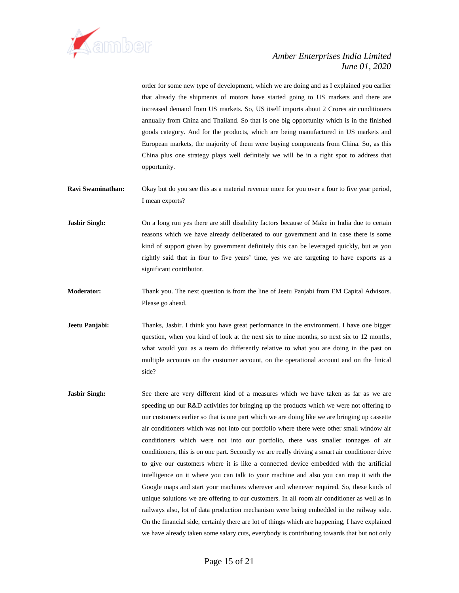

order for some new type of development, which we are doing and as I explained you earlier that already the shipments of motors have started going to US markets and there are increased demand from US markets. So, US itself imports about 2 Crores air conditioners annually from China and Thailand. So that is one big opportunity which is in the finished goods category. And for the products, which are being manufactured in US markets and European markets, the majority of them were buying components from China. So, as this China plus one strategy plays well definitely we will be in a right spot to address that opportunity.

- **Ravi Swaminathan:** Okay but do you see this as a material revenue more for you over a four to five year period, I mean exports?
- **Jasbir Singh:** On a long run yes there are still disability factors because of Make in India due to certain reasons which we have already deliberated to our government and in case there is some kind of support given by government definitely this can be leveraged quickly, but as you rightly said that in four to five years' time, yes we are targeting to have exports as a significant contributor.
- **Moderator:** Thank you. The next question is from the line of Jeetu Panjabi from EM Capital Advisors. Please go ahead.
- **Jeetu Panjabi:** Thanks, Jasbir. I think you have great performance in the environment. I have one bigger question, when you kind of look at the next six to nine months, so next six to 12 months, what would you as a team do differently relative to what you are doing in the past on multiple accounts on the customer account, on the operational account and on the finical side?
- **Jasbir Singh:** See there are very different kind of a measures which we have taken as far as we are speeding up our R&D activities for bringing up the products which we were not offering to our customers earlier so that is one part which we are doing like we are bringing up cassette air conditioners which was not into our portfolio where there were other small window air conditioners which were not into our portfolio, there was smaller tonnages of air conditioners, this is on one part. Secondly we are really driving a smart air conditioner drive to give our customers where it is like a connected device embedded with the artificial intelligence on it where you can talk to your machine and also you can map it with the Google maps and start your machines wherever and whenever required. So, these kinds of unique solutions we are offering to our customers. In all room air conditioner as well as in railways also, lot of data production mechanism were being embedded in the railway side. On the financial side, certainly there are lot of things which are happening, I have explained we have already taken some salary cuts, everybody is contributing towards that but not only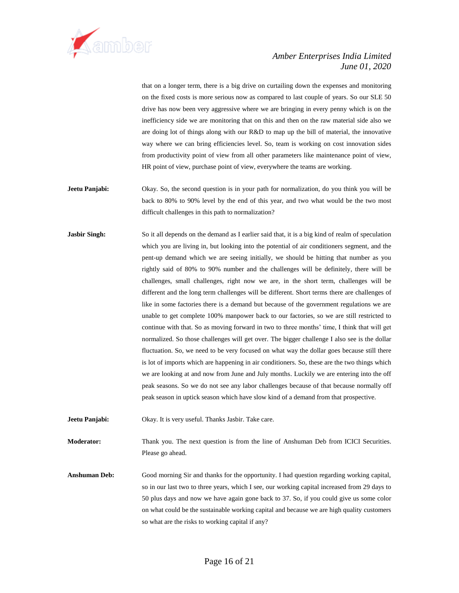

that on a longer term, there is a big drive on curtailing down the expenses and monitoring on the fixed costs is more serious now as compared to last couple of years. So our SLE 50 drive has now been very aggressive where we are bringing in every penny which is on the inefficiency side we are monitoring that on this and then on the raw material side also we are doing lot of things along with our R&D to map up the bill of material, the innovative way where we can bring efficiencies level. So, team is working on cost innovation sides from productivity point of view from all other parameters like maintenance point of view, HR point of view, purchase point of view, everywhere the teams are working.

- **Jeetu Panjabi:** Okay. So, the second question is in your path for normalization, do you think you will be back to 80% to 90% level by the end of this year, and two what would be the two most difficult challenges in this path to normalization?
- **Jasbir Singh:** So it all depends on the demand as I earlier said that, it is a big kind of realm of speculation which you are living in, but looking into the potential of air conditioners segment, and the pent-up demand which we are seeing initially, we should be hitting that number as you rightly said of 80% to 90% number and the challenges will be definitely, there will be challenges, small challenges, right now we are, in the short term, challenges will be different and the long term challenges will be different. Short terms there are challenges of like in some factories there is a demand but because of the government regulations we are unable to get complete 100% manpower back to our factories, so we are still restricted to continue with that. So as moving forward in two to three months' time, I think that will get normalized. So those challenges will get over. The bigger challenge I also see is the dollar fluctuation. So, we need to be very focused on what way the dollar goes because still there is lot of imports which are happening in air conditioners. So, these are the two things which we are looking at and now from June and July months. Luckily we are entering into the off peak seasons. So we do not see any labor challenges because of that because normally off peak season in uptick season which have slow kind of a demand from that prospective.
- **Jeetu Panjabi:** Okay. It is very useful. Thanks Jasbir. Take care.

**Moderator:** Thank you. The next question is from the line of Anshuman Deb from ICICI Securities. Please go ahead.

**Anshuman Deb:** Good morning Sir and thanks for the opportunity. I had question regarding working capital, so in our last two to three years, which I see, our working capital increased from 29 days to 50 plus days and now we have again gone back to 37. So, if you could give us some color on what could be the sustainable working capital and because we are high quality customers so what are the risks to working capital if any?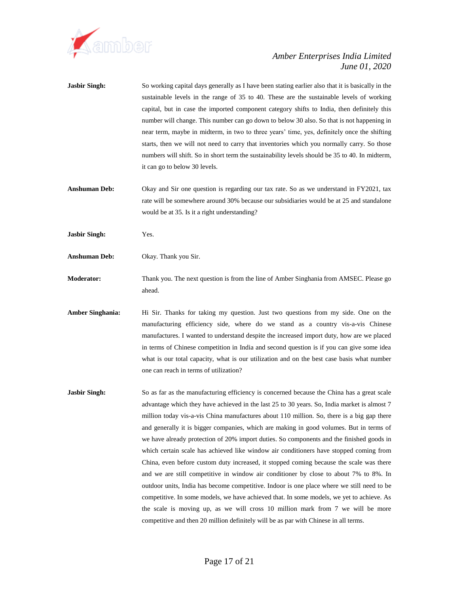

- **Jasbir Singh:** So working capital days generally as I have been stating earlier also that it is basically in the sustainable levels in the range of 35 to 40. These are the sustainable levels of working capital, but in case the imported component category shifts to India, then definitely this number will change. This number can go down to below 30 also. So that is not happening in near term, maybe in midterm, in two to three years' time, yes, definitely once the shifting starts, then we will not need to carry that inventories which you normally carry. So those numbers will shift. So in short term the sustainability levels should be 35 to 40. In midterm, it can go to below 30 levels.
- **Anshuman Deb:** Okay and Sir one question is regarding our tax rate. So as we understand in FY2021, tax rate will be somewhere around 30% because our subsidiaries would be at 25 and standalone would be at 35. Is it a right understanding?
- **Jasbir Singh:** Yes.
- **Anshuman Deb:** Okay. Thank you Sir.

**Moderator:** Thank you. The next question is from the line of Amber Singhania from AMSEC. Please go ahead.

- **Amber Singhania:** Hi Sir. Thanks for taking my question. Just two questions from my side. One on the manufacturing efficiency side, where do we stand as a country vis-a-vis Chinese manufactures. I wanted to understand despite the increased import duty, how are we placed in terms of Chinese competition in India and second question is if you can give some idea what is our total capacity, what is our utilization and on the best case basis what number one can reach in terms of utilization?
- **Jasbir Singh:** So as far as the manufacturing efficiency is concerned because the China has a great scale advantage which they have achieved in the last 25 to 30 years. So, India market is almost 7 million today vis-a-vis China manufactures about 110 million. So, there is a big gap there and generally it is bigger companies, which are making in good volumes. But in terms of we have already protection of 20% import duties. So components and the finished goods in which certain scale has achieved like window air conditioners have stopped coming from China, even before custom duty increased, it stopped coming because the scale was there and we are still competitive in window air conditioner by close to about 7% to 8%. In outdoor units, India has become competitive. Indoor is one place where we still need to be competitive. In some models, we have achieved that. In some models, we yet to achieve. As the scale is moving up, as we will cross 10 million mark from 7 we will be more competitive and then 20 million definitely will be as par with Chinese in all terms.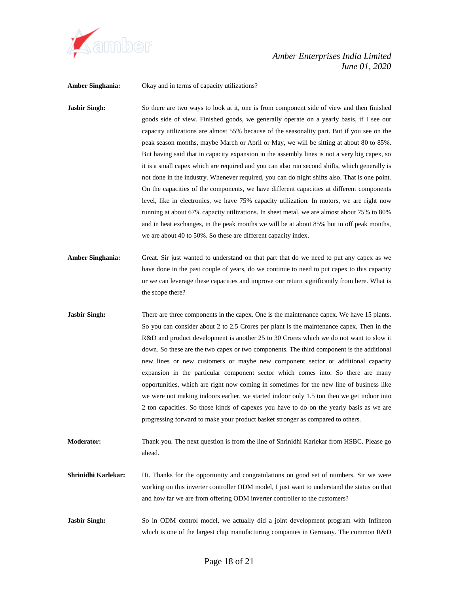

**Amber Singhania:** Okay and in terms of capacity utilizations?

**Jasbir Singh:** So there are two ways to look at it, one is from component side of view and then finished goods side of view. Finished goods, we generally operate on a yearly basis, if I see our capacity utilizations are almost 55% because of the seasonality part. But if you see on the peak season months, maybe March or April or May, we will be sitting at about 80 to 85%. But having said that in capacity expansion in the assembly lines is not a very big capex, so it is a small capex which are required and you can also run second shifts, which generally is not done in the industry. Whenever required, you can do night shifts also. That is one point. On the capacities of the components, we have different capacities at different components level, like in electronics, we have 75% capacity utilization. In motors, we are right now running at about 67% capacity utilizations. In sheet metal, we are almost about 75% to 80% and in heat exchanges, in the peak months we will be at about 85% but in off peak months, we are about 40 to 50%. So these are different capacity index.

- **Amber Singhania:** Great. Sir just wanted to understand on that part that do we need to put any capex as we have done in the past couple of years, do we continue to need to put capex to this capacity or we can leverage these capacities and improve our return significantly from here. What is the scope there?
- **Jasbir Singh:** There are three components in the capex. One is the maintenance capex. We have 15 plants. So you can consider about 2 to 2.5 Crores per plant is the maintenance capex. Then in the R&D and product development is another 25 to 30 Crores which we do not want to slow it down. So these are the two capex or two components. The third component is the additional new lines or new customers or maybe new component sector or additional capacity expansion in the particular component sector which comes into. So there are many opportunities, which are right now coming in sometimes for the new line of business like we were not making indoors earlier, we started indoor only 1.5 ton then we get indoor into 2 ton capacities. So those kinds of capexes you have to do on the yearly basis as we are progressing forward to make your product basket stronger as compared to others.

**Moderator:** Thank you. The next question is from the line of Shrinidhi Karlekar from HSBC. Please go ahead.

- **Shrinidhi Karlekar:** Hi. Thanks for the opportunity and congratulations on good set of numbers. Sir we were working on this inverter controller ODM model, I just want to understand the status on that and how far we are from offering ODM inverter controller to the customers?
- **Jasbir Singh:** So in ODM control model, we actually did a joint development program with Infineon which is one of the largest chip manufacturing companies in Germany. The common R&D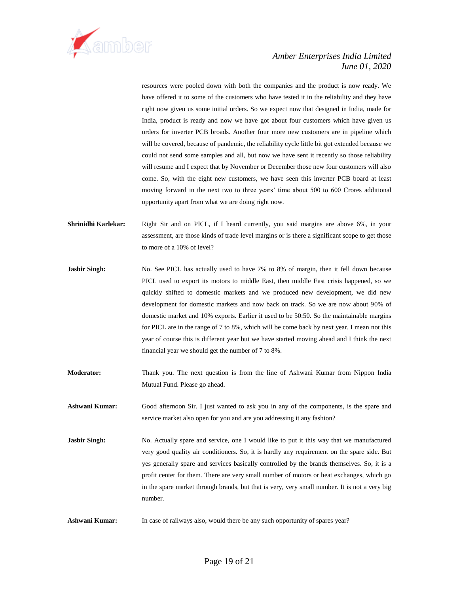

resources were pooled down with both the companies and the product is now ready. We have offered it to some of the customers who have tested it in the reliability and they have right now given us some initial orders. So we expect now that designed in India, made for India, product is ready and now we have got about four customers which have given us orders for inverter PCB broads. Another four more new customers are in pipeline which will be covered, because of pandemic, the reliability cycle little bit got extended because we could not send some samples and all, but now we have sent it recently so those reliability will resume and I expect that by November or December those new four customers will also come. So, with the eight new customers, we have seen this inverter PCB board at least moving forward in the next two to three years' time about 500 to 600 Crores additional opportunity apart from what we are doing right now.

- **Shrinidhi Karlekar:** Right Sir and on PICL, if I heard currently, you said margins are above 6%, in your assessment, are those kinds of trade level margins or is there a significant scope to get those to more of a 10% of level?
- **Jasbir Singh:** No. See PICL has actually used to have 7% to 8% of margin, then it fell down because PICL used to export its motors to middle East, then middle East crisis happened, so we quickly shifted to domestic markets and we produced new development, we did new development for domestic markets and now back on track. So we are now about 90% of domestic market and 10% exports. Earlier it used to be 50:50. So the maintainable margins for PICL are in the range of 7 to 8%, which will be come back by next year. I mean not this year of course this is different year but we have started moving ahead and I think the next financial year we should get the number of 7 to 8%.
- **Moderator:** Thank you. The next question is from the line of Ashwani Kumar from Nippon India Mutual Fund. Please go ahead.
- **Ashwani Kumar:** Good afternoon Sir. I just wanted to ask you in any of the components, is the spare and service market also open for you and are you addressing it any fashion?
- **Jasbir Singh:** No. Actually spare and service, one I would like to put it this way that we manufactured very good quality air conditioners. So, it is hardly any requirement on the spare side. But yes generally spare and services basically controlled by the brands themselves. So, it is a profit center for them. There are very small number of motors or heat exchanges, which go in the spare market through brands, but that is very, very small number. It is not a very big number.
- Ashwani Kumar: In case of railways also, would there be any such opportunity of spares year?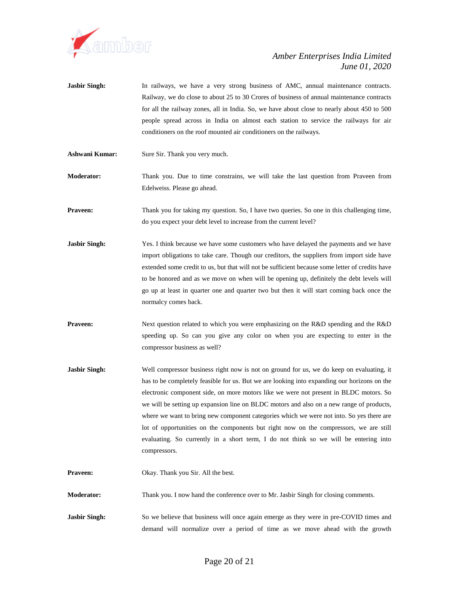

- **Jasbir Singh:** In railways, we have a very strong business of AMC, annual maintenance contracts. Railway, we do close to about 25 to 30 Crores of business of annual maintenance contracts for all the railway zones, all in India. So, we have about close to nearly about 450 to 500 people spread across in India on almost each station to service the railways for air conditioners on the roof mounted air conditioners on the railways.
- **Ashwani Kumar:** Sure Sir. Thank you very much.
- **Moderator:** Thank you. Due to time constrains, we will take the last question from Praveen from Edelweiss. Please go ahead.
- **Praveen:** Thank you for taking my question. So, I have two queries. So one in this challenging time, do you expect your debt level to increase from the current level?
- **Jasbir Singh:** Yes. I think because we have some customers who have delayed the payments and we have import obligations to take care. Though our creditors, the suppliers from import side have extended some credit to us, but that will not be sufficient because some letter of credits have to be honored and as we move on when will be opening up, definitely the debt levels will go up at least in quarter one and quarter two but then it will start coming back once the normalcy comes back.
- **Praveen:** Next question related to which you were emphasizing on the R&D spending and the R&D speeding up. So can you give any color on when you are expecting to enter in the compressor business as well?
- **Jasbir Singh:** Well compressor business right now is not on ground for us, we do keep on evaluating, it has to be completely feasible for us. But we are looking into expanding our horizons on the electronic component side, on more motors like we were not present in BLDC motors. So we will be setting up expansion line on BLDC motors and also on a new range of products, where we want to bring new component categories which we were not into. So yes there are lot of opportunities on the components but right now on the compressors, we are still evaluating. So currently in a short term, I do not think so we will be entering into compressors.
- **Praveen:** Okay. Thank you Sir. All the best.

**Moderator:** Thank you. I now hand the conference over to Mr. Jasbir Singh for closing comments.

**Jasbir Singh:** So we believe that business will once again emerge as they were in pre-COVID times and demand will normalize over a period of time as we move ahead with the growth